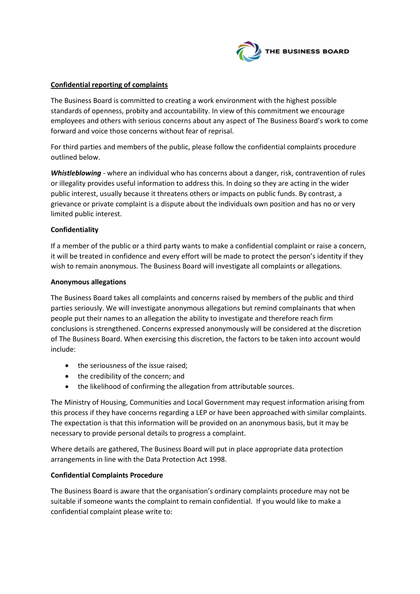

### **Confidential reporting of complaints**

The Business Board is committed to creating a work environment with the highest possible standards of openness, probity and accountability. In view of this commitment we encourage employees and others with serious concerns about any aspect of The Business Board's work to come forward and voice those concerns without fear of reprisal.

For third parties and members of the public, please follow the confidential complaints procedure outlined below.

*Whistleblowing* - where an individual who has concerns about a danger, risk, contravention of rules or illegality provides useful information to address this. In doing so they are acting in the wider public interest, usually because it threatens others or impacts on public funds. By contrast, a grievance or private complaint is a dispute about the individuals own position and has no or very limited public interest.

### **Confidentiality**

If a member of the public or a third party wants to make a confidential complaint or raise a concern, it will be treated in confidence and every effort will be made to protect the person's identity if they wish to remain anonymous. The Business Board will investigate all complaints or allegations.

#### **Anonymous allegations**

The Business Board takes all complaints and concerns raised by members of the public and third parties seriously. We will investigate anonymous allegations but remind complainants that when people put their names to an allegation the ability to investigate and therefore reach firm conclusions is strengthened. Concerns expressed anonymously will be considered at the discretion of The Business Board. When exercising this discretion, the factors to be taken into account would include:

- the seriousness of the issue raised;
- the credibility of the concern; and
- the likelihood of confirming the allegation from attributable sources.

The Ministry of Housing, Communities and Local Government may request information arising from this process if they have concerns regarding a LEP or have been approached with similar complaints. The expectation is that this information will be provided on an anonymous basis, but it may be necessary to provide personal details to progress a complaint.

Where details are gathered, The Business Board will put in place appropriate data protection arrangements in line with the Data Protection Act 1998.

### **Confidential Complaints Procedure**

The Business Board is aware that the organisation's ordinary complaints procedure may not be suitable if someone wants the complaint to remain confidential. If you would like to make a confidential complaint please write to: